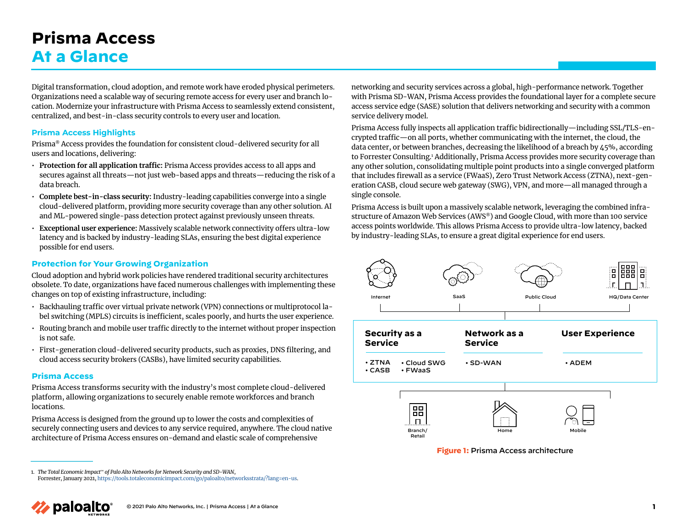# **Prisma Access At a Glance**

Digital transformation, cloud adoption, and remote work have eroded physical perimeters. Organizations need a scalable way of securing remote access for every user and branch location. Modernize your infrastructure with Prisma Access to seamlessly extend consistent, centralized, and best-in-class security controls to every user and location.

## **Prisma Access Highlights**

Prisma® Access provides the foundation for consistent cloud-delivered security for all users and locations, delivering:

- **Protection for all application traffic:** Prisma Access provides access to all apps and secures against all threats—not just web-based apps and threats—reducing the risk of a data breach.
- **Complete best-in-class security:** Industry-leading capabilities converge into a single cloud-delivered platform, providing more security coverage than any other solution. AI and ML-powered single-pass detection protect against previously unseen threats.
- **Exceptional user experience:** Massively scalable network connectivity offers ultra-low latency and is backed by industry-leading SLAs, ensuring the best digital experience possible for end users.

## **Protection for Your Growing Organization**

Cloud adoption and hybrid work policies have rendered traditional security architectures obsolete. To date, organizations have faced numerous challenges with implementing these changes on top of existing infrastructure, including:

- Backhauling traffic over virtual private network (VPN) connections or multiprotocol label switching (MPLS) circuits is inefficient, scales poorly, and hurts the user experience.
- Routing branch and mobile user traffic directly to the internet without proper inspection is not safe.
- First-generation cloud-delivered security products, such as proxies, DNS filtering, and cloud access security brokers (CASBs), have limited security capabilities.

## **Prisma Access**

Prisma Access transforms security with the industry's most complete cloud-delivered platform, allowing organizations to securely enable remote workforces and branch locations.

Prisma Access is designed from the ground up to lower the costs and complexities of securely connecting users and devices to any service required, anywhere. The cloud native architecture of Prisma Access ensures on-demand and elastic scale of comprehensive

networking and security services across a global, high-performance network. Together with Prisma SD-WAN, Prisma Access provides the foundational layer for a complete secure access service edge (SASE) solution that delivers networking and security with a common service delivery model.

Prisma Access fully inspects all application traffic bidirectionally—including SSL/TLS-encrypted traffic—on all ports, whether communicating with the internet, the cloud, the data center, or between branches, decreasing the likelihood of a breach by 45%, according to Forrester Consulting.1 Additionally, Prisma Access provides more security coverage than any other solution, consolidating multiple point products into a single converged platform that includes firewall as a service (FWaaS), Zero Trust Network Access (ZTNA), next-generation CASB, cloud secure web gateway (SWG), VPN, and more—all managed through a single console.

Prisma Access is built upon a massively scalable network, leveraging the combined infrastructure of Amazon Web Services (AWS®) and Google Cloud, with more than 100 service access points worldwide. This allows Prisma Access to provide ultra-low latency, backed by industry-leading SLAs, to ensure a great digital experience for end users.



**Figure 1:** Prisma Access architecture

 <sup>1.</sup> *The Total Economic Impact™ of Palo Alto Networks for Network Security and SD-WAN*, Forrester, January 2021,<https://tools.totaleconomicimpact.com/go/paloalto/networksstrata/?lang=en-us>.